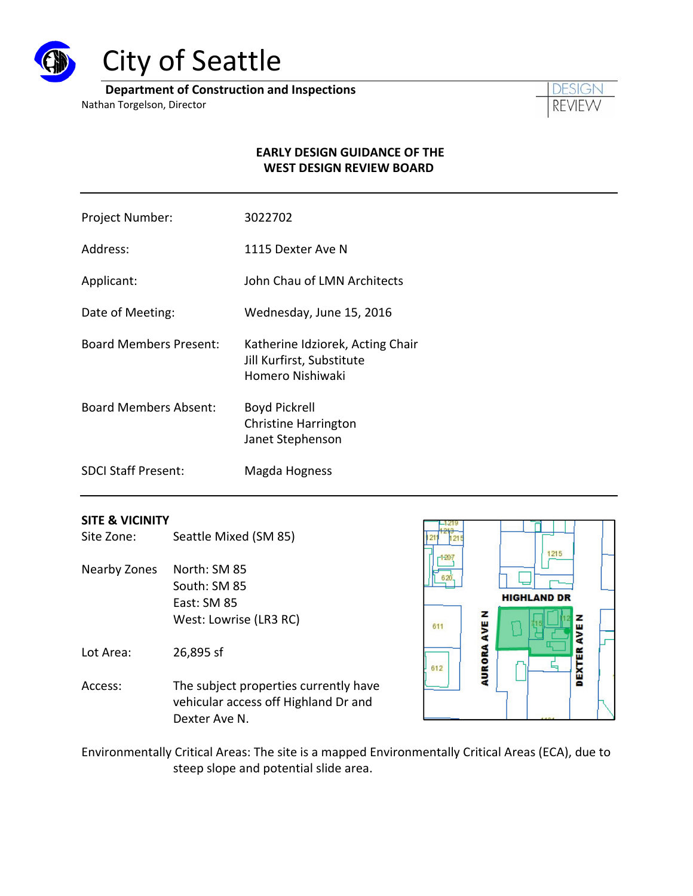

# City of Seattle

**Department of Construction and Inspections**

Nathan Torgelson, Director



## **EARLY DESIGN GUIDANCE OF THE WEST DESIGN REVIEW BOARD**

- Project Number: 3022702
- Address: 1115 Dexter Ave N
- Applicant: **IDEN Architects** John Chau of LMN Architects
- Date of Meeting: Wednesday, June 15, 2016
- Board Members Present: Katherine Idziorek, Acting Chair Jill Kurfirst, Substitute Homero Nishiwaki
- Board Members Absent: Boyd Pickrell Christine Harrington Janet Stephenson
- SDCI Staff Present: Magda Hogness

## **SITE & VICINITY**

- Site Zone: Seattle Mixed (SM 85)
- Nearby Zones North: SM 85 South: SM 85 East: SM 85 West: Lowrise (LR3 RC)

Lot Area: 26,895 sf

Access: The subject properties currently have vehicular access off Highland Dr and Dexter Ave N.



Environmentally Critical Areas: The site is a mapped Environmentally Critical Areas (ECA), due to steep slope and potential slide area.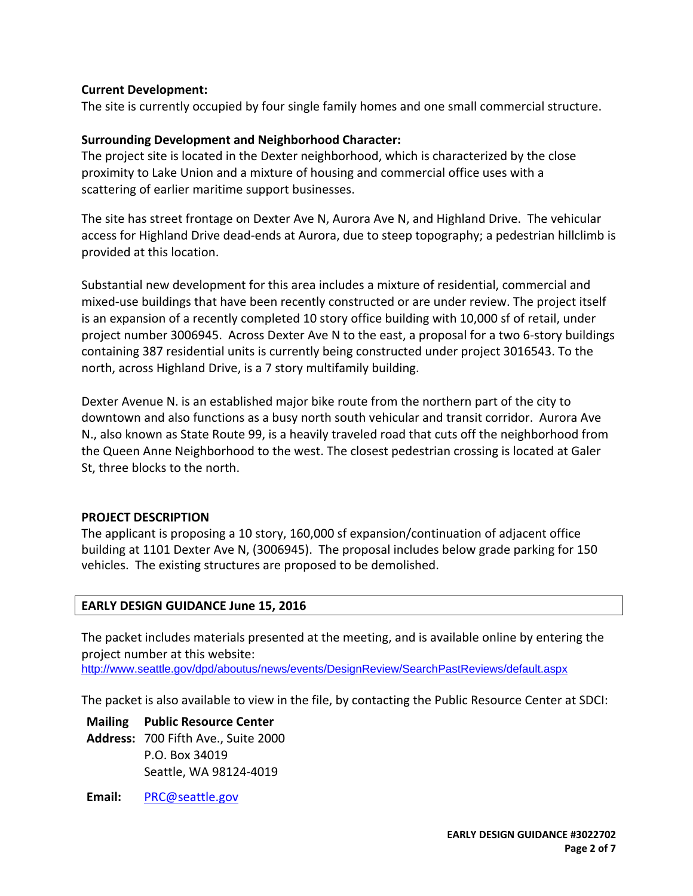## **Current Development:**

The site is currently occupied by four single family homes and one small commercial structure.

## **Surrounding Development and Neighborhood Character:**

The project site is located in the Dexter neighborhood, which is characterized by the close proximity to Lake Union and a mixture of housing and commercial office uses with a scattering of earlier maritime support businesses.

The site has street frontage on Dexter Ave N, Aurora Ave N, and Highland Drive. The vehicular access for Highland Drive dead‐ends at Aurora, due to steep topography; a pedestrian hillclimb is provided at this location.

Substantial new development for this area includes a mixture of residential, commercial and mixed-use buildings that have been recently constructed or are under review. The project itself is an expansion of a recently completed 10 story office building with 10,000 sf of retail, under project number 3006945. Across Dexter Ave N to the east, a proposal for a two 6‐story buildings containing 387 residential units is currently being constructed under project 3016543. To the north, across Highland Drive, is a 7 story multifamily building.

Dexter Avenue N. is an established major bike route from the northern part of the city to downtown and also functions as a busy north south vehicular and transit corridor. Aurora Ave N., also known as State Route 99, is a heavily traveled road that cuts off the neighborhood from the Queen Anne Neighborhood to the west. The closest pedestrian crossing is located at Galer St, three blocks to the north.

## **PROJECT DESCRIPTION**

The applicant is proposing a 10 story, 160,000 sf expansion/continuation of adjacent office building at 1101 Dexter Ave N, (3006945). The proposal includes below grade parking for 150 vehicles. The existing structures are proposed to be demolished.

## **EARLY DESIGN GUIDANCE June 15, 2016**

The packet includes materials presented at the meeting, and is available online by entering the project number at this website:

http://www.seattle.gov/dpd/aboutus/news/events/DesignReview/SearchPastReviews/default.aspx

The packet is also available to view in the file, by contacting the Public Resource Center at SDCI:

**Mailing Public Resource Center Address:** 700 Fifth Ave., Suite 2000 P.O. Box 34019 Seattle, WA 98124‐4019

**Email:** PRC@seattle.gov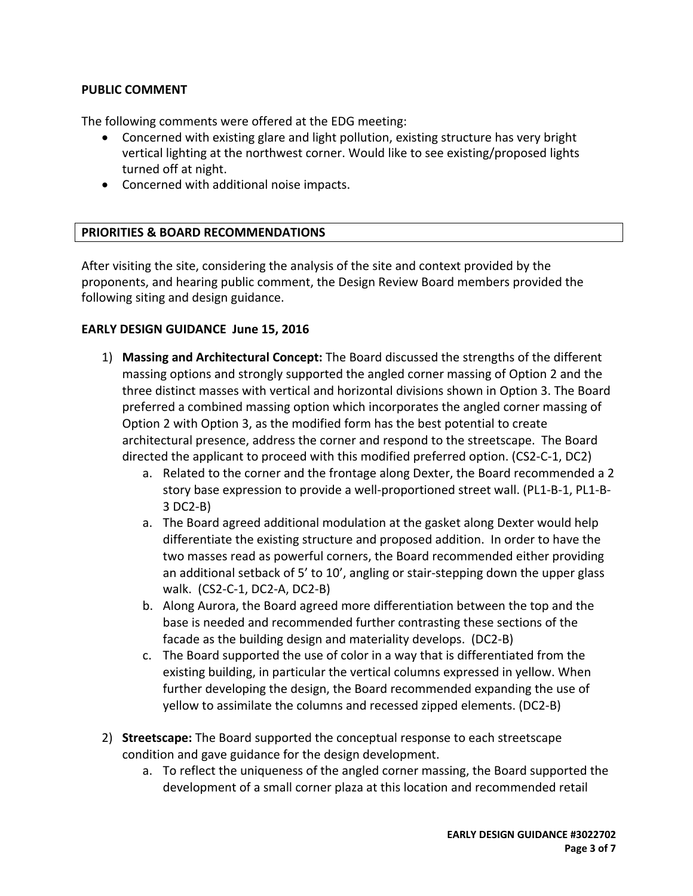## **PUBLIC COMMENT**

The following comments were offered at the EDG meeting:

- Concerned with existing glare and light pollution, existing structure has very bright vertical lighting at the northwest corner. Would like to see existing/proposed lights turned off at night.
- Concerned with additional noise impacts.

## **PRIORITIES & BOARD RECOMMENDATIONS**

After visiting the site, considering the analysis of the site and context provided by the proponents, and hearing public comment, the Design Review Board members provided the following siting and design guidance.

## **EARLY DESIGN GUIDANCE June 15, 2016**

- 1) **Massing and Architectural Concept:** The Board discussed the strengths of the different massing options and strongly supported the angled corner massing of Option 2 and the three distinct masses with vertical and horizontal divisions shown in Option 3. The Board preferred a combined massing option which incorporates the angled corner massing of Option 2 with Option 3, as the modified form has the best potential to create architectural presence, address the corner and respond to the streetscape. The Board directed the applicant to proceed with this modified preferred option. (CS2‐C‐1, DC2)
	- a. Related to the corner and the frontage along Dexter, the Board recommended a 2 story base expression to provide a well‐proportioned street wall. (PL1‐B‐1, PL1‐B‐ 3 DC2‐B)
	- a. The Board agreed additional modulation at the gasket along Dexter would help differentiate the existing structure and proposed addition. In order to have the two masses read as powerful corners, the Board recommended either providing an additional setback of 5' to 10', angling or stair‐stepping down the upper glass walk. (CS2‐C‐1, DC2‐A, DC2‐B)
	- b. Along Aurora, the Board agreed more differentiation between the top and the base is needed and recommended further contrasting these sections of the facade as the building design and materiality develops. (DC2‐B)
	- c. The Board supported the use of color in a way that is differentiated from the existing building, in particular the vertical columns expressed in yellow. When further developing the design, the Board recommended expanding the use of yellow to assimilate the columns and recessed zipped elements. (DC2‐B)
- 2) **Streetscape:** The Board supported the conceptual response to each streetscape condition and gave guidance for the design development.
	- a. To reflect the uniqueness of the angled corner massing, the Board supported the development of a small corner plaza at this location and recommended retail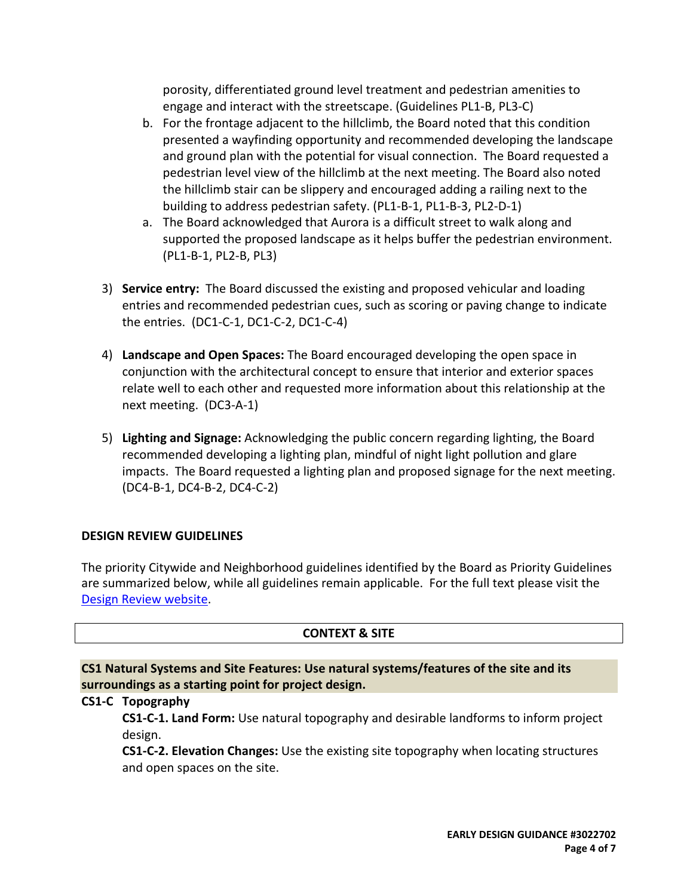porosity, differentiated ground level treatment and pedestrian amenities to engage and interact with the streetscape. (Guidelines PL1‐B, PL3‐C)

- b. For the frontage adjacent to the hillclimb, the Board noted that this condition presented a wayfinding opportunity and recommended developing the landscape and ground plan with the potential for visual connection. The Board requested a pedestrian level view of the hillclimb at the next meeting. The Board also noted the hillclimb stair can be slippery and encouraged adding a railing next to the building to address pedestrian safety. (PL1‐B‐1, PL1‐B‐3, PL2‐D‐1)
- a. The Board acknowledged that Aurora is a difficult street to walk along and supported the proposed landscape as it helps buffer the pedestrian environment. (PL1‐B‐1, PL2‐B, PL3)
- 3) **Service entry:** The Board discussed the existing and proposed vehicular and loading entries and recommended pedestrian cues, such as scoring or paving change to indicate the entries. (DC1‐C‐1, DC1‐C‐2, DC1‐C‐4)
- 4) **Landscape and Open Spaces:** The Board encouraged developing the open space in conjunction with the architectural concept to ensure that interior and exterior spaces relate well to each other and requested more information about this relationship at the next meeting. (DC3‐A‐1)
- 5) **Lighting and Signage:** Acknowledging the public concern regarding lighting, the Board recommended developing a lighting plan, mindful of night light pollution and glare impacts. The Board requested a lighting plan and proposed signage for the next meeting. (DC4‐B‐1, DC4‐B‐2, DC4‐C‐2)

# **DESIGN REVIEW GUIDELINES**

The priority Citywide and Neighborhood guidelines identified by the Board as Priority Guidelines are summarized below, while all guidelines remain applicable. For the full text please visit the Design Review website.

# **CONTEXT & SITE**

**CS1 Natural Systems and Site Features: Use natural systems/features of the site and its surroundings as a starting point for project design.**

# **CS1‐C Topography**

**CS1‐C‐1. Land Form:** Use natural topography and desirable landforms to inform project design.

**CS1‐C‐2. Elevation Changes:** Use the existing site topography when locating structures and open spaces on the site.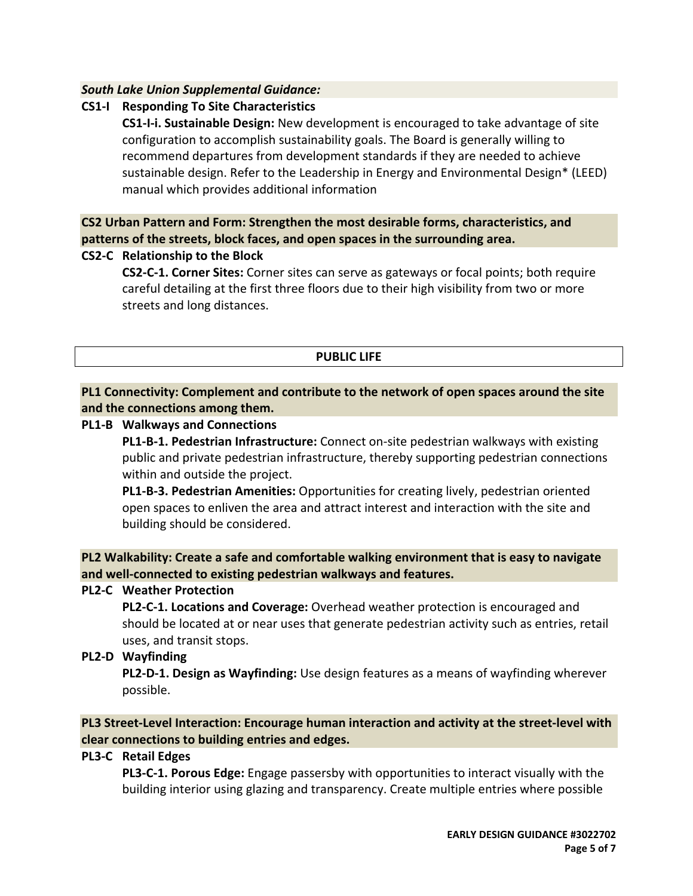## *South Lake Union Supplemental Guidance:*

# **CS1‐I Responding To Site Characteristics**

**CS1‐I‐i. Sustainable Design:** New development is encouraged to take advantage of site configuration to accomplish sustainability goals. The Board is generally willing to recommend departures from development standards if they are needed to achieve sustainable design. Refer to the Leadership in Energy and Environmental Design\* (LEED) manual which provides additional information

**CS2 Urban Pattern and Form: Strengthen the most desirable forms, characteristics, and patterns of the streets, block faces, and open spaces in the surrounding area.**

## **CS2‐C Relationship to the Block**

**CS2‐C‐1. Corner Sites:** Corner sites can serve as gateways or focal points; both require careful detailing at the first three floors due to their high visibility from two or more streets and long distances.

## **PUBLIC LIFE**

## **PL1 Connectivity: Complement and contribute to the network of open spaces around the site and the connections among them.**

## **PL1‐B Walkways and Connections**

**PL1‐B‐1. Pedestrian Infrastructure:** Connect on‐site pedestrian walkways with existing public and private pedestrian infrastructure, thereby supporting pedestrian connections within and outside the project.

**PL1‐B‐3. Pedestrian Amenities:** Opportunities for creating lively, pedestrian oriented open spaces to enliven the area and attract interest and interaction with the site and building should be considered.

**PL2 Walkability: Create a safe and comfortable walking environment that is easy to navigate and well‐connected to existing pedestrian walkways and features.**

## **PL2‐C Weather Protection**

**PL2‐C‐1. Locations and Coverage:** Overhead weather protection is encouraged and should be located at or near uses that generate pedestrian activity such as entries, retail uses, and transit stops.

# **PL2‐D Wayfinding**

**PL2‐D‐1. Design as Wayfinding:** Use design features as a means of wayfinding wherever possible.

**PL3 Street‐Level Interaction: Encourage human interaction and activity at the street‐level with clear connections to building entries and edges.**

## **PL3‐C Retail Edges**

**PL3‐C‐1. Porous Edge:** Engage passersby with opportunities to interact visually with the building interior using glazing and transparency. Create multiple entries where possible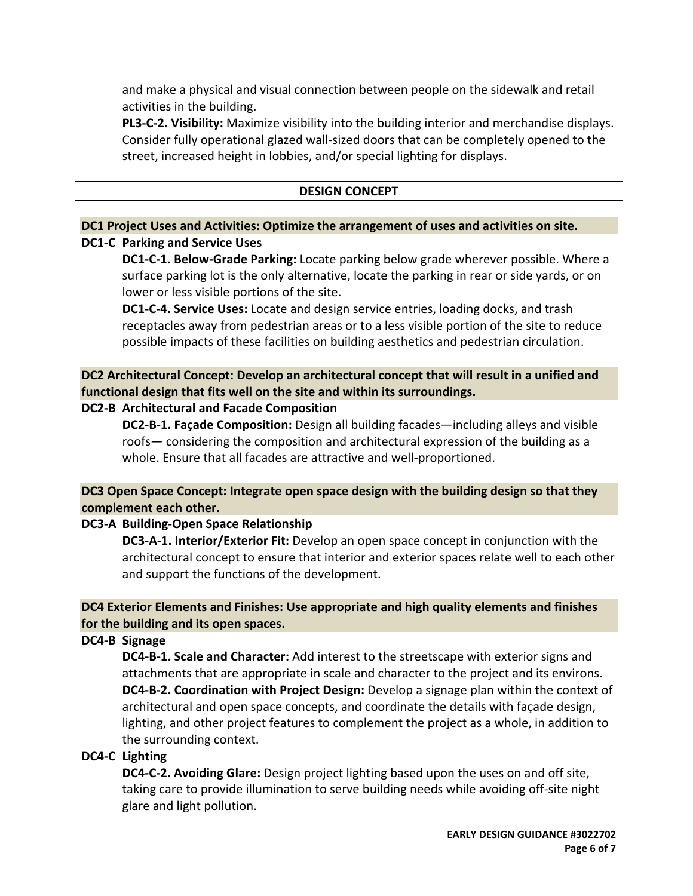and make a physical and visual connection between people on the sidewalk and retail activities in the building.

**PL3‐C‐2. Visibility:** Maximize visibility into the building interior and merchandise displays. Consider fully operational glazed wall‐sized doors that can be completely opened to the street, increased height in lobbies, and/or special lighting for displays.

#### **DESIGN CONCEPT**

#### **DC1 Project Uses and Activities: Optimize the arrangement of uses and activities on site.**

## **DC1‐C Parking and Service Uses**

**DC1‐C‐1. Below‐Grade Parking:** Locate parking below grade wherever possible. Where a surface parking lot is the only alternative, locate the parking in rear or side yards, or on lower or less visible portions of the site.

**DC1‐C‐4. Service Uses:** Locate and design service entries, loading docks, and trash receptacles away from pedestrian areas or to a less visible portion of the site to reduce possible impacts of these facilities on building aesthetics and pedestrian circulation.

**DC2 Architectural Concept: Develop an architectural concept that will result in a unified and functional design that fits well on the site and within its surroundings.**

## **DC2‐B Architectural and Facade Composition**

**DC2‐B‐1. Façade Composition:** Design all building facades—including alleys and visible roofs— considering the composition and architectural expression of the building as a whole. Ensure that all facades are attractive and well-proportioned.

# **DC3 Open Space Concept: Integrate open space design with the building design so that they complement each other.**

## **DC3‐A Building‐Open Space Relationship**

**DC3‐A‐1. Interior/Exterior Fit:** Develop an open space concept in conjunction with the architectural concept to ensure that interior and exterior spaces relate well to each other and support the functions of the development.

## **DC4 Exterior Elements and Finishes: Use appropriate and high quality elements and finishes for the building and its open spaces.**

## **DC4‐B Signage**

**DC4‐B‐1. Scale and Character:** Add interest to the streetscape with exterior signs and attachments that are appropriate in scale and character to the project and its environs. **DC4‐B‐2. Coordination with Project Design:** Develop a signage plan within the context of architectural and open space concepts, and coordinate the details with façade design, lighting, and other project features to complement the project as a whole, in addition to the surrounding context.

## **DC4‐C Lighting**

**DC4‐C‐2. Avoiding Glare:** Design project lighting based upon the uses on and off site, taking care to provide illumination to serve building needs while avoiding off‐site night glare and light pollution.